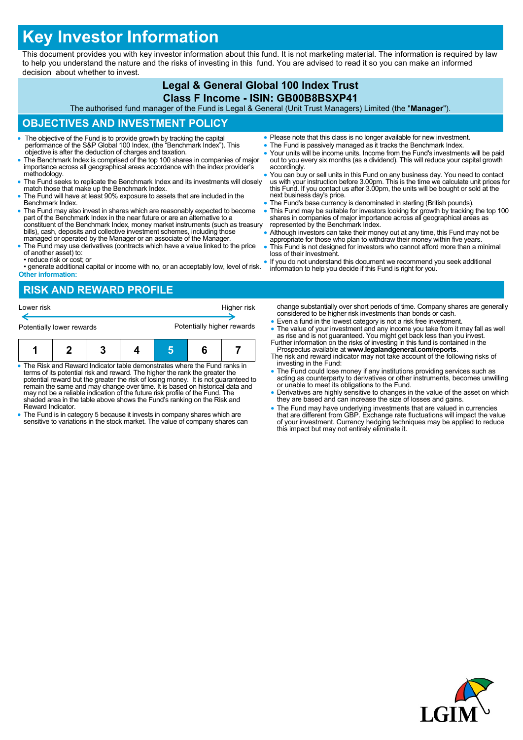# **Key Investor Information**

This document provides you with key investor information about this fund. It is not marketing material. The information is required by law to help you understand the nature and the risks of investing in this fund. You are advised to read it so you can make an informed decision about whether to invest.

### **Legal & General Global 100 Index Trust Class F Income - ISIN: GB00B8BSXP41**

The authorised fund manager of the Fund is Legal & General (Unit Trust Managers) Limited (the "**Manager**").

## **OBJECTIVES AND INVESTMENT POLICY**

- The objective of the Fund is to provide growth by tracking the capital performance of the S&P Global 100 Index, (the "Benchmark Index"). This objective is after the deduction of charges and taxation.
- The Benchmark Index is comprised of the top 100 shares in companies of major importance across all geographical areas accordance with the index provider's methodology.
- The Fund seeks to replicate the Benchmark Index and its investments will closely match those that make up the Benchmark Index.
- The Fund will have at least 90% exposure to assets that are included in the Benchmark Index.
- The Fund may also invest in shares which are reasonably expected to become part of the Benchmark Index in the near future or are an alternative to a constituent of the Benchmark Index, money market instruments (such as treasury bills), cash, deposits and collective investment schemes, including those managed or operated by the Manager or an associate of the Manager.
- The Fund may use derivatives (contracts which have a value linked to the price of another asset) to: • reduce risk or cost; or
- generate additional capital or income with no, or an acceptably low, level of risk. **Other information:**
- Please note that this class is no longer available for new investment.
- The Fund is passively managed as it tracks the Benchmark Index.
- Your units will be income units. Income from the Fund's investments will be paid out to you every six months (as a dividend). This will reduce your capital growth accordingly.
- You can buy or sell units in this Fund on any business day. You need to contact us with your instruction before 3.00pm. This is the time we calculate unit prices for this Fund. If you contact us after 3.00pm, the units will be bought or sold at the next business day's price.
- The Fund's base currency is denominated in sterling (British pounds).
- This Fund may be suitable for investors looking for growth by tracking the top 100 shares in companies of major importance across all geographical areas as represented by the Benchmark Index.
- Although investors can take their money out at any time, this Fund may not be appropriate for those who plan to withdraw their money within five years.
- This Fund is not designed for investors who cannot afford more than a minimal loss of their investment.
- If you do not understand this document we recommend you seek additional information to help you decide if this Fund is right for you.

# **RISK AND REWARD PROFILE**



- The Risk and Reward Indicator table demonstrates where the Fund ranks in terms of its potential risk and reward. The higher the rank the greater the potential reward but the greater the risk of losing money. It is not guaranteed to remain the same and may change over time. It is based on historical data and may not be a reliable indication of the future risk profile of the Fund. The shaded area in the table above shows the Fund's ranking on the Risk and Reward Indicator.
- The Fund is in category 5 because it invests in company shares which are sensitive to variations in the stock market. The value of company shares can
- change substantially over short periods of time. Company shares are generally considered to be higher risk investments than bonds or cash.
- Even a fund in the lowest category is not a risk free investment. • The value of your investment and any income you take from it may fall as well as rise and is not guaranteed. You might get back less than you invest.<br>Further information on the risks of investing in this fund is containe
- Prospectus available at **www.legalandgeneral.com/reports**.
- The risk and reward indicator may not take account of the following risks of investing in the Fund:
- The Fund could lose money if any institutions providing services such as acting as counterparty to derivatives or other instruments, becomes unwilling or unable to meet its obligations to the Fund.
- Derivatives are highly sensitive to changes in the value of the asset on which they are based and can increase the size of losses and gains.
- The Fund may have underlying investments that are valued in currencies that are different from GBP. Exchange rate fluctuations will impact the value of your investment. Currency hedging techniques may be applied to reduce this impact but may not entirely eliminate it.